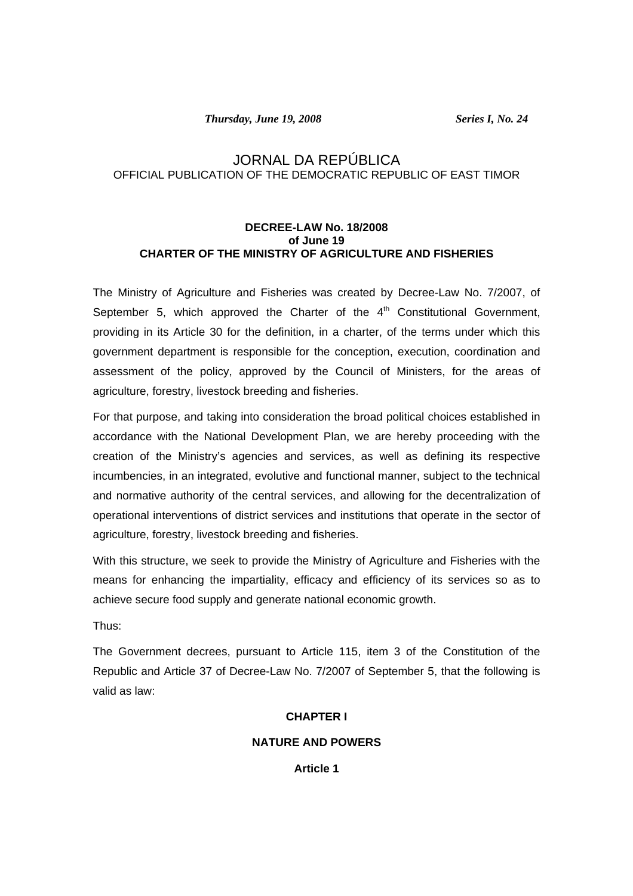*Thursday, June 19, 2008 Series I, No. 24* 

# JORNAL DA REPÚBLICA OFFICIAL PUBLICATION OF THE DEMOCRATIC REPUBLIC OF EAST TIMOR

## **DECREE-LAW No. 18/2008 of June 19 CHARTER OF THE MINISTRY OF AGRICULTURE AND FISHERIES**

The Ministry of Agriculture and Fisheries was created by Decree-Law No. 7/2007, of September 5, which approved the Charter of the  $4<sup>th</sup>$  Constitutional Government, providing in its Article 30 for the definition, in a charter, of the terms under which this government department is responsible for the conception, execution, coordination and assessment of the policy, approved by the Council of Ministers, for the areas of agriculture, forestry, livestock breeding and fisheries.

For that purpose, and taking into consideration the broad political choices established in accordance with the National Development Plan, we are hereby proceeding with the creation of the Ministry's agencies and services, as well as defining its respective incumbencies, in an integrated, evolutive and functional manner, subject to the technical and normative authority of the central services, and allowing for the decentralization of operational interventions of district services and institutions that operate in the sector of agriculture, forestry, livestock breeding and fisheries.

With this structure, we seek to provide the Ministry of Agriculture and Fisheries with the means for enhancing the impartiality, efficacy and efficiency of its services so as to achieve secure food supply and generate national economic growth.

Thus:

The Government decrees, pursuant to Article 115, item 3 of the Constitution of the Republic and Article 37 of Decree-Law No. 7/2007 of September 5, that the following is valid as law:

### **CHAPTER I**

## **NATURE AND POWERS**

**Article 1**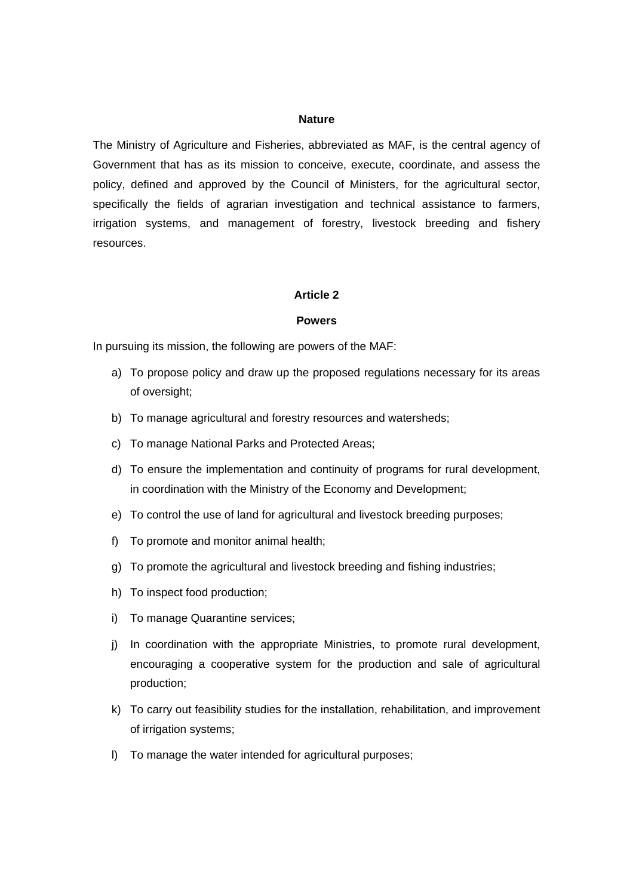#### **Nature**

The Ministry of Agriculture and Fisheries, abbreviated as MAF, is the central agency of Government that has as its mission to conceive, execute, coordinate, and assess the policy, defined and approved by the Council of Ministers, for the agricultural sector, specifically the fields of agrarian investigation and technical assistance to farmers, irrigation systems, and management of forestry, livestock breeding and fishery resources.

#### **Article 2**

#### **Powers**

In pursuing its mission, the following are powers of the MAF:

- a) To propose policy and draw up the proposed regulations necessary for its areas of oversight;
- b) To manage agricultural and forestry resources and watersheds;
- c) To manage National Parks and Protected Areas;
- d) To ensure the implementation and continuity of programs for rural development, in coordination with the Ministry of the Economy and Development;
- e) To control the use of land for agricultural and livestock breeding purposes;
- f) To promote and monitor animal health;
- g) To promote the agricultural and livestock breeding and fishing industries;
- h) To inspect food production;
- i) To manage Quarantine services;
- j) In coordination with the appropriate Ministries, to promote rural development, encouraging a cooperative system for the production and sale of agricultural production;
- k) To carry out feasibility studies for the installation, rehabilitation, and improvement of irrigation systems;
- l) To manage the water intended for agricultural purposes;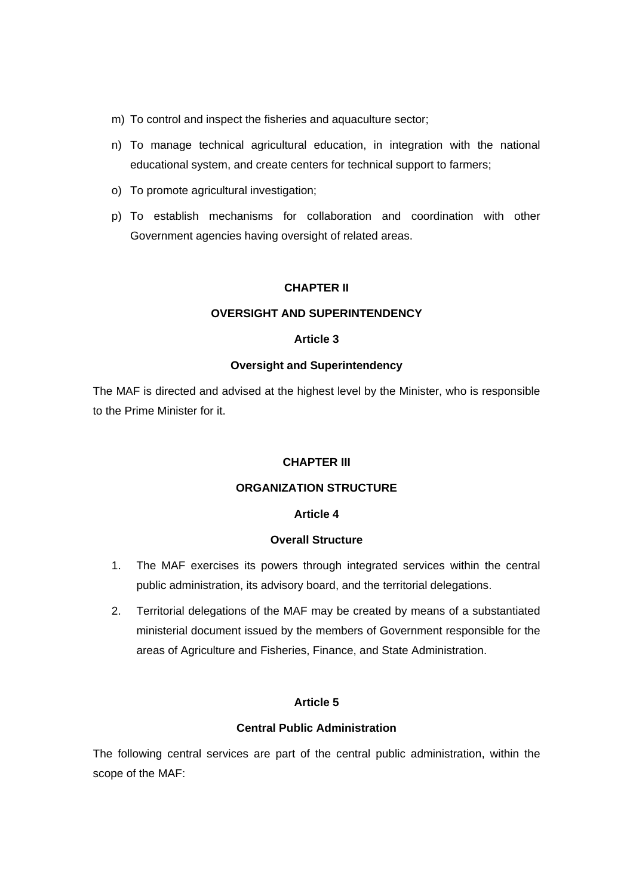- m) To control and inspect the fisheries and aquaculture sector;
- n) To manage technical agricultural education, in integration with the national educational system, and create centers for technical support to farmers;
- o) To promote agricultural investigation;
- p) To establish mechanisms for collaboration and coordination with other Government agencies having oversight of related areas.

#### **CHAPTER II**

## **OVERSIGHT AND SUPERINTENDENCY**

## **Article 3**

### **Oversight and Superintendency**

The MAF is directed and advised at the highest level by the Minister, who is responsible to the Prime Minister for it.

## **CHAPTER III**

### **ORGANIZATION STRUCTURE**

#### **Article 4**

#### **Overall Structure**

- 1. The MAF exercises its powers through integrated services within the central public administration, its advisory board, and the territorial delegations.
- 2. Territorial delegations of the MAF may be created by means of a substantiated ministerial document issued by the members of Government responsible for the areas of Agriculture and Fisheries, Finance, and State Administration.

### **Article 5**

## **Central Public Administration**

The following central services are part of the central public administration, within the scope of the MAF: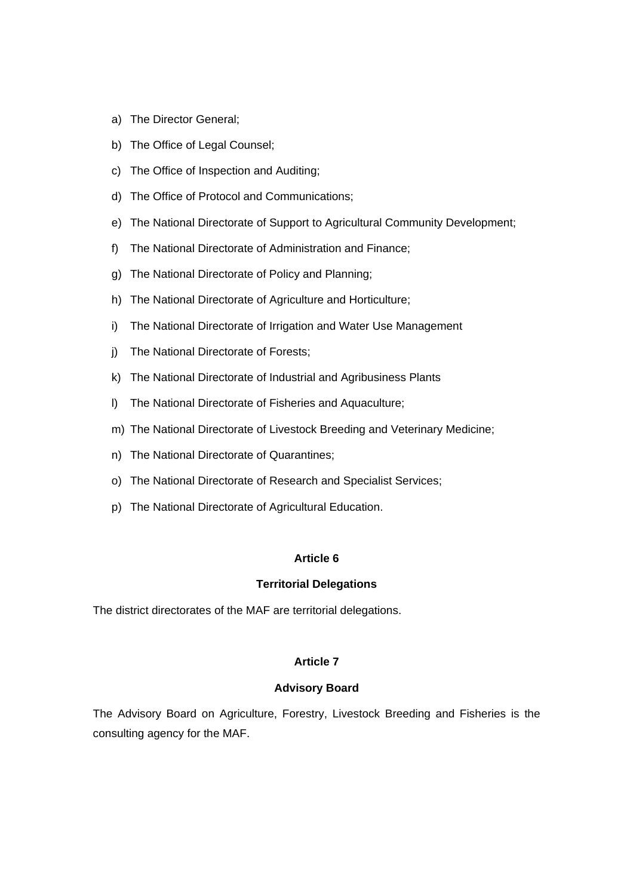- a) The Director General;
- b) The Office of Legal Counsel;
- c) The Office of Inspection and Auditing;
- d) The Office of Protocol and Communications;
- e) The National Directorate of Support to Agricultural Community Development;
- f) The National Directorate of Administration and Finance;
- g) The National Directorate of Policy and Planning;
- h) The National Directorate of Agriculture and Horticulture;
- i) The National Directorate of Irrigation and Water Use Management
- j) The National Directorate of Forests;
- k) The National Directorate of Industrial and Agribusiness Plants
- l) The National Directorate of Fisheries and Aquaculture;
- m) The National Directorate of Livestock Breeding and Veterinary Medicine;
- n) The National Directorate of Quarantines;
- o) The National Directorate of Research and Specialist Services;
- p) The National Directorate of Agricultural Education.

### **Territorial Delegations**

The district directorates of the MAF are territorial delegations.

### **Article 7**

### **Advisory Board**

The Advisory Board on Agriculture, Forestry, Livestock Breeding and Fisheries is the consulting agency for the MAF.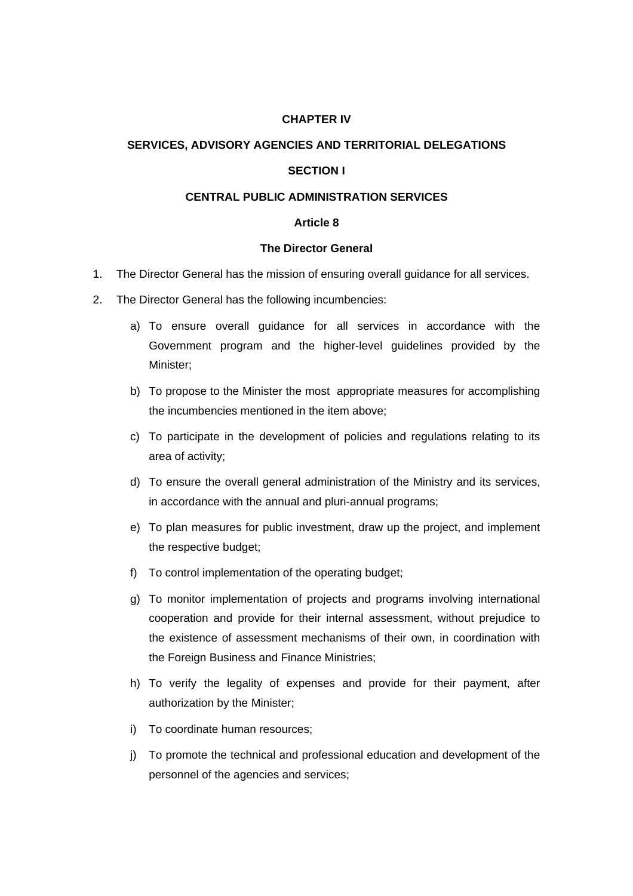## **CHAPTER IV**

### **SERVICES, ADVISORY AGENCIES AND TERRITORIAL DELEGATIONS**

### **SECTION I**

# **CENTRAL PUBLIC ADMINISTRATION SERVICES**

### **Article 8**

#### **The Director General**

- 1. The Director General has the mission of ensuring overall guidance for all services.
- 2. The Director General has the following incumbencies:
	- a) To ensure overall guidance for all services in accordance with the Government program and the higher-level guidelines provided by the Minister;
	- b) To propose to the Minister the most appropriate measures for accomplishing the incumbencies mentioned in the item above;
	- c) To participate in the development of policies and regulations relating to its area of activity;
	- d) To ensure the overall general administration of the Ministry and its services, in accordance with the annual and pluri-annual programs;
	- e) To plan measures for public investment, draw up the project, and implement the respective budget;
	- f) To control implementation of the operating budget;
	- g) To monitor implementation of projects and programs involving international cooperation and provide for their internal assessment, without prejudice to the existence of assessment mechanisms of their own, in coordination with the Foreign Business and Finance Ministries;
	- h) To verify the legality of expenses and provide for their payment, after authorization by the Minister;
	- i) To coordinate human resources;
	- j) To promote the technical and professional education and development of the personnel of the agencies and services;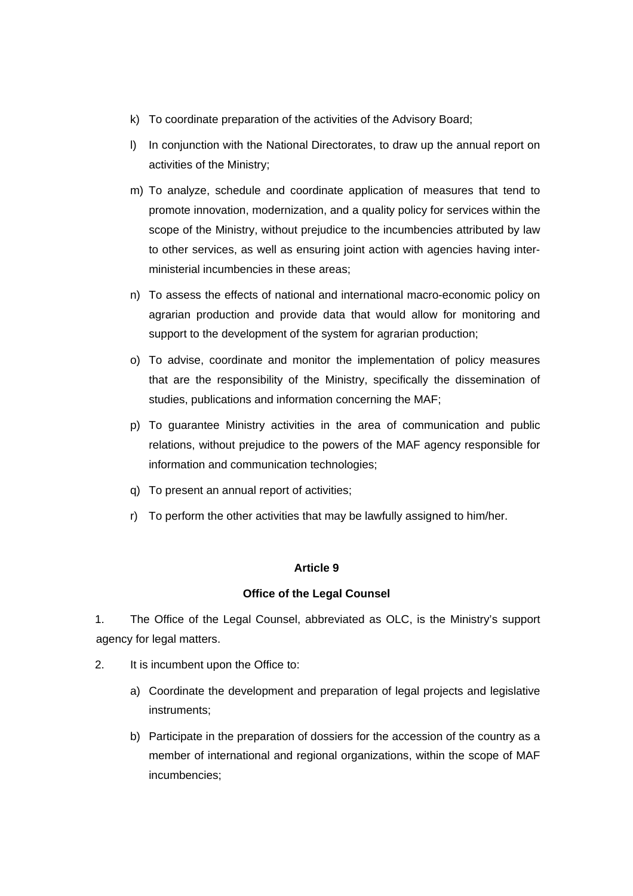- k) To coordinate preparation of the activities of the Advisory Board;
- l) In conjunction with the National Directorates, to draw up the annual report on activities of the Ministry;
- m) To analyze, schedule and coordinate application of measures that tend to promote innovation, modernization, and a quality policy for services within the scope of the Ministry, without prejudice to the incumbencies attributed by law to other services, as well as ensuring joint action with agencies having interministerial incumbencies in these areas;
- n) To assess the effects of national and international macro-economic policy on agrarian production and provide data that would allow for monitoring and support to the development of the system for agrarian production;
- o) To advise, coordinate and monitor the implementation of policy measures that are the responsibility of the Ministry, specifically the dissemination of studies, publications and information concerning the MAF;
- p) To guarantee Ministry activities in the area of communication and public relations, without prejudice to the powers of the MAF agency responsible for information and communication technologies;
- q) To present an annual report of activities;
- r) To perform the other activities that may be lawfully assigned to him/her.

### **Office of the Legal Counsel**

1. The Office of the Legal Counsel, abbreviated as OLC, is the Ministry's support agency for legal matters.

- 2. It is incumbent upon the Office to:
	- a) Coordinate the development and preparation of legal projects and legislative instruments;
	- b) Participate in the preparation of dossiers for the accession of the country as a member of international and regional organizations, within the scope of MAF incumbencies;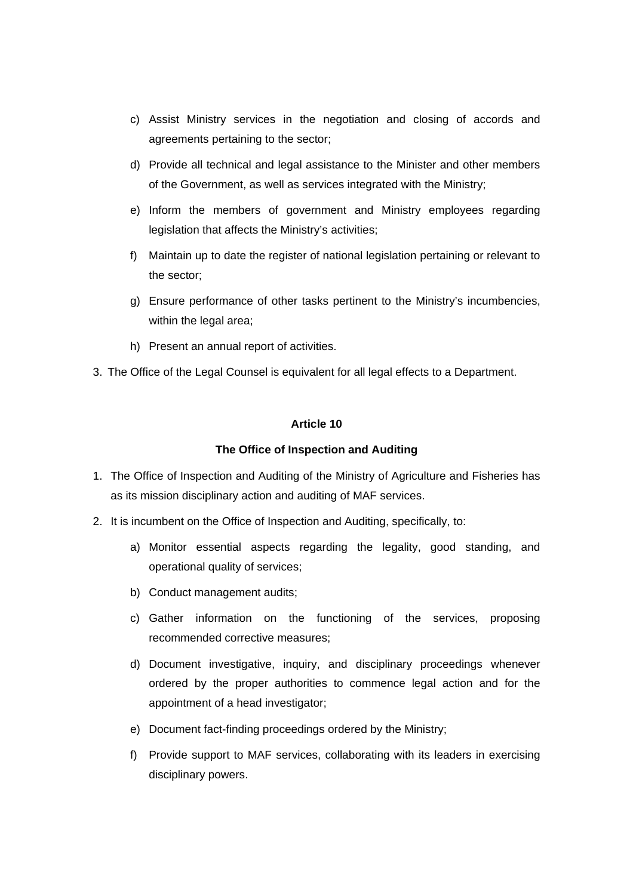- c) Assist Ministry services in the negotiation and closing of accords and agreements pertaining to the sector;
- d) Provide all technical and legal assistance to the Minister and other members of the Government, as well as services integrated with the Ministry;
- e) Inform the members of government and Ministry employees regarding legislation that affects the Ministry's activities;
- f) Maintain up to date the register of national legislation pertaining or relevant to the sector;
- g) Ensure performance of other tasks pertinent to the Ministry's incumbencies, within the legal area;
- h) Present an annual report of activities.
- 3. The Office of the Legal Counsel is equivalent for all legal effects to a Department.

# **The Office of Inspection and Auditing**

- 1. The Office of Inspection and Auditing of the Ministry of Agriculture and Fisheries has as its mission disciplinary action and auditing of MAF services.
- 2. It is incumbent on the Office of Inspection and Auditing, specifically, to:
	- a) Monitor essential aspects regarding the legality, good standing, and operational quality of services;
	- b) Conduct management audits;
	- c) Gather information on the functioning of the services, proposing recommended corrective measures;
	- d) Document investigative, inquiry, and disciplinary proceedings whenever ordered by the proper authorities to commence legal action and for the appointment of a head investigator;
	- e) Document fact-finding proceedings ordered by the Ministry;
	- f) Provide support to MAF services, collaborating with its leaders in exercising disciplinary powers.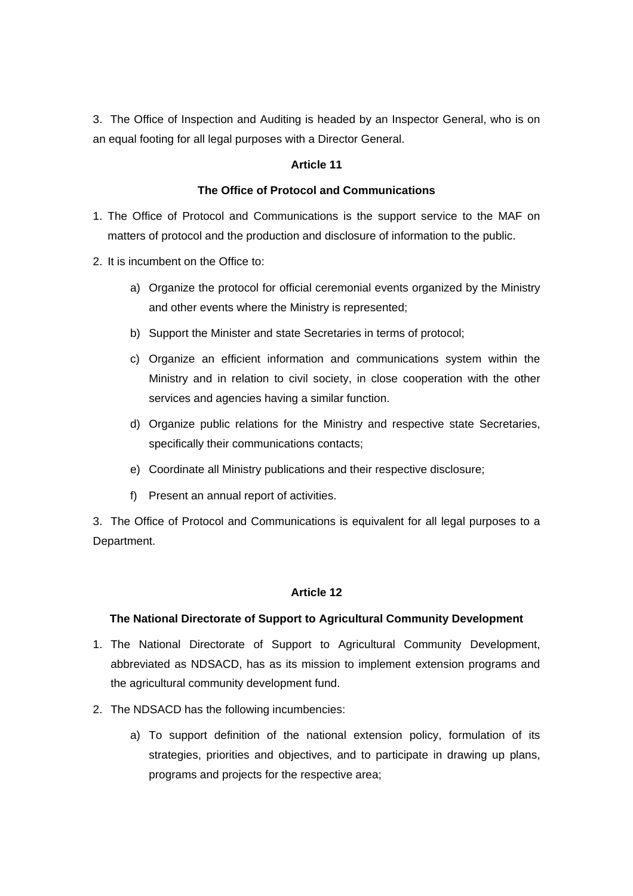3. The Office of Inspection and Auditing is headed by an Inspector General, who is on an equal footing for all legal purposes with a Director General.

## **Article 11**

### **The Office of Protocol and Communications**

- 1. The Office of Protocol and Communications is the support service to the MAF on matters of protocol and the production and disclosure of information to the public.
- 2. It is incumbent on the Office to:
	- a) Organize the protocol for official ceremonial events organized by the Ministry and other events where the Ministry is represented;
	- b) Support the Minister and state Secretaries in terms of protocol;
	- c) Organize an efficient information and communications system within the Ministry and in relation to civil society, in close cooperation with the other services and agencies having a similar function.
	- d) Organize public relations for the Ministry and respective state Secretaries, specifically their communications contacts;
	- e) Coordinate all Ministry publications and their respective disclosure;
	- f) Present an annual report of activities.

3. The Office of Protocol and Communications is equivalent for all legal purposes to a Department.

## **Article 12**

### **The National Directorate of Support to Agricultural Community Development**

- 1. The National Directorate of Support to Agricultural Community Development, abbreviated as NDSACD, has as its mission to implement extension programs and the agricultural community development fund.
- 2. The NDSACD has the following incumbencies:
	- a) To support definition of the national extension policy, formulation of its strategies, priorities and objectives, and to participate in drawing up plans, programs and projects for the respective area;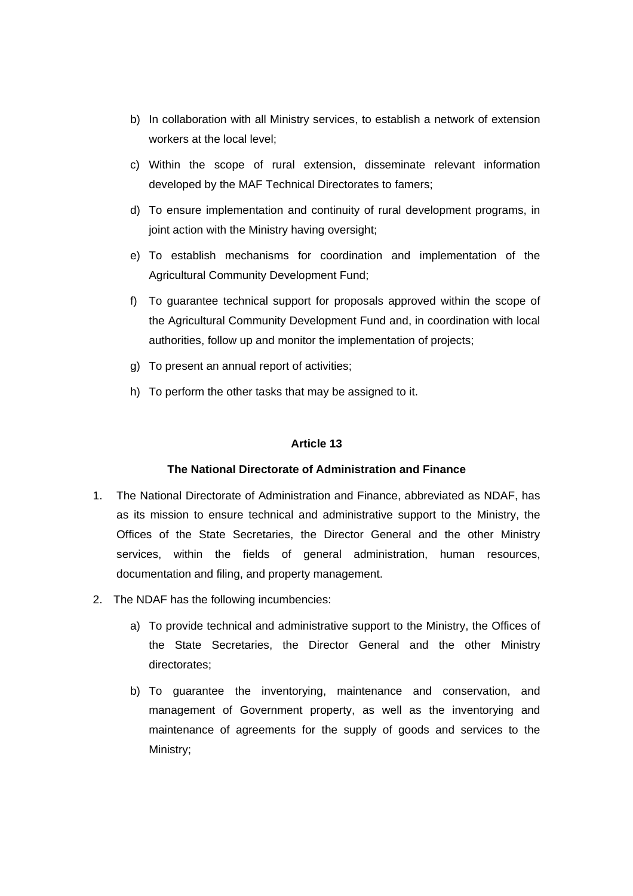- b) In collaboration with all Ministry services, to establish a network of extension workers at the local level;
- c) Within the scope of rural extension, disseminate relevant information developed by the MAF Technical Directorates to famers;
- d) To ensure implementation and continuity of rural development programs, in joint action with the Ministry having oversight;
- e) To establish mechanisms for coordination and implementation of the Agricultural Community Development Fund;
- f) To guarantee technical support for proposals approved within the scope of the Agricultural Community Development Fund and, in coordination with local authorities, follow up and monitor the implementation of projects;
- g) To present an annual report of activities;
- h) To perform the other tasks that may be assigned to it.

### **The National Directorate of Administration and Finance**

- 1. The National Directorate of Administration and Finance, abbreviated as NDAF, has as its mission to ensure technical and administrative support to the Ministry, the Offices of the State Secretaries, the Director General and the other Ministry services, within the fields of general administration, human resources, documentation and filing, and property management.
- 2. The NDAF has the following incumbencies:
	- a) To provide technical and administrative support to the Ministry, the Offices of the State Secretaries, the Director General and the other Ministry directorates;
	- b) To guarantee the inventorying, maintenance and conservation, and management of Government property, as well as the inventorying and maintenance of agreements for the supply of goods and services to the Ministry;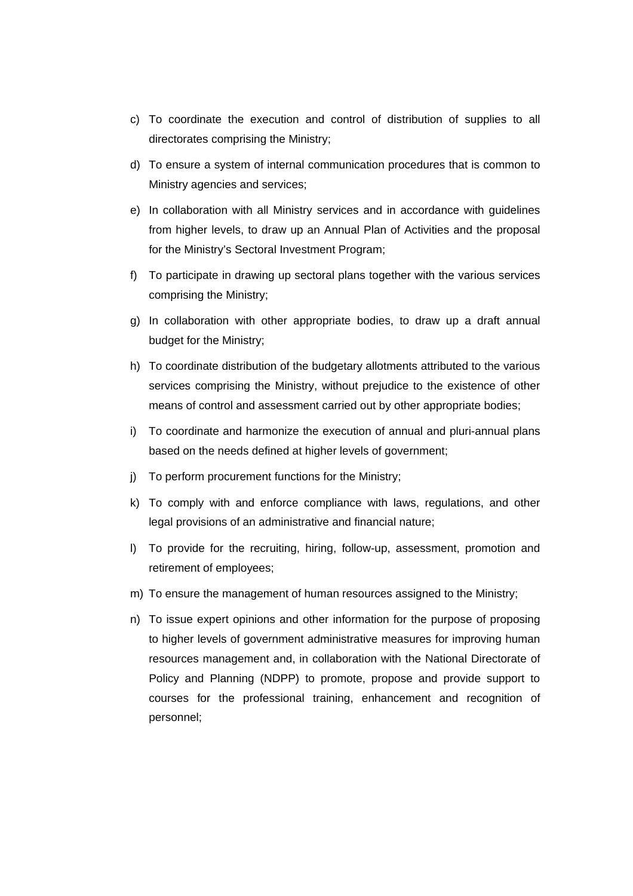- c) To coordinate the execution and control of distribution of supplies to all directorates comprising the Ministry;
- d) To ensure a system of internal communication procedures that is common to Ministry agencies and services;
- e) In collaboration with all Ministry services and in accordance with guidelines from higher levels, to draw up an Annual Plan of Activities and the proposal for the Ministry's Sectoral Investment Program;
- f) To participate in drawing up sectoral plans together with the various services comprising the Ministry;
- g) In collaboration with other appropriate bodies, to draw up a draft annual budget for the Ministry;
- h) To coordinate distribution of the budgetary allotments attributed to the various services comprising the Ministry, without prejudice to the existence of other means of control and assessment carried out by other appropriate bodies;
- i) To coordinate and harmonize the execution of annual and pluri-annual plans based on the needs defined at higher levels of government;
- j) To perform procurement functions for the Ministry;
- k) To comply with and enforce compliance with laws, regulations, and other legal provisions of an administrative and financial nature;
- l) To provide for the recruiting, hiring, follow-up, assessment, promotion and retirement of employees;
- m) To ensure the management of human resources assigned to the Ministry;
- n) To issue expert opinions and other information for the purpose of proposing to higher levels of government administrative measures for improving human resources management and, in collaboration with the National Directorate of Policy and Planning (NDPP) to promote, propose and provide support to courses for the professional training, enhancement and recognition of personnel;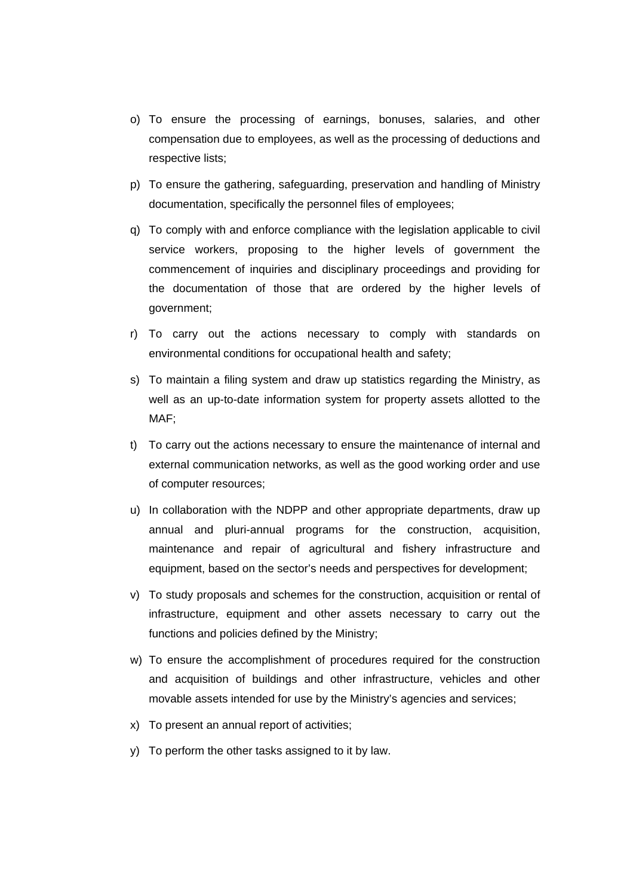- o) To ensure the processing of earnings, bonuses, salaries, and other compensation due to employees, as well as the processing of deductions and respective lists;
- p) To ensure the gathering, safeguarding, preservation and handling of Ministry documentation, specifically the personnel files of employees;
- q) To comply with and enforce compliance with the legislation applicable to civil service workers, proposing to the higher levels of government the commencement of inquiries and disciplinary proceedings and providing for the documentation of those that are ordered by the higher levels of government;
- r) To carry out the actions necessary to comply with standards on environmental conditions for occupational health and safety;
- s) To maintain a filing system and draw up statistics regarding the Ministry, as well as an up-to-date information system for property assets allotted to the MAF;
- t) To carry out the actions necessary to ensure the maintenance of internal and external communication networks, as well as the good working order and use of computer resources;
- u) In collaboration with the NDPP and other appropriate departments, draw up annual and pluri-annual programs for the construction, acquisition, maintenance and repair of agricultural and fishery infrastructure and equipment, based on the sector's needs and perspectives for development;
- v) To study proposals and schemes for the construction, acquisition or rental of infrastructure, equipment and other assets necessary to carry out the functions and policies defined by the Ministry;
- w) To ensure the accomplishment of procedures required for the construction and acquisition of buildings and other infrastructure, vehicles and other movable assets intended for use by the Ministry's agencies and services;
- x) To present an annual report of activities;
- y) To perform the other tasks assigned to it by law.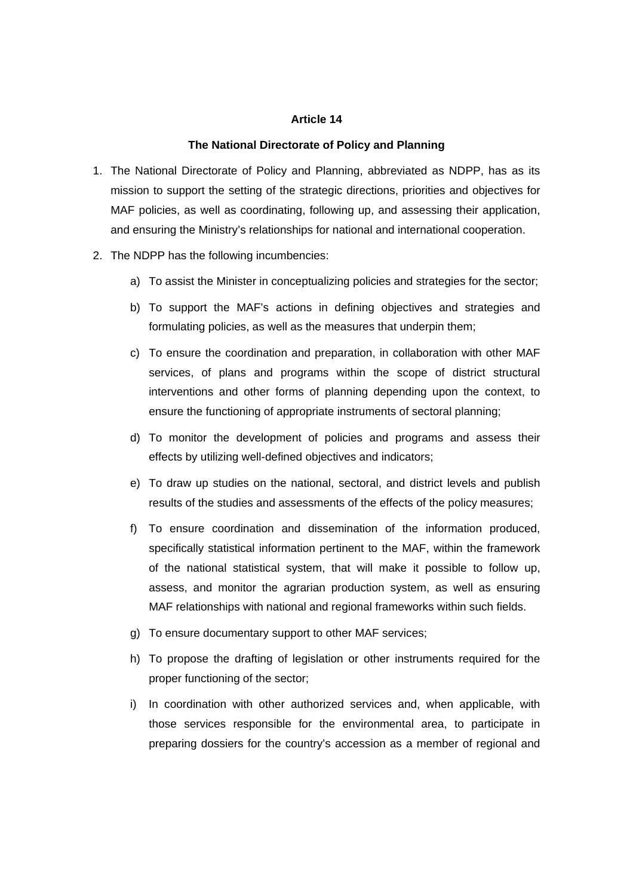#### **The National Directorate of Policy and Planning**

- 1. The National Directorate of Policy and Planning, abbreviated as NDPP, has as its mission to support the setting of the strategic directions, priorities and objectives for MAF policies, as well as coordinating, following up, and assessing their application, and ensuring the Ministry's relationships for national and international cooperation.
- 2. The NDPP has the following incumbencies:
	- a) To assist the Minister in conceptualizing policies and strategies for the sector;
	- b) To support the MAF's actions in defining objectives and strategies and formulating policies, as well as the measures that underpin them;
	- c) To ensure the coordination and preparation, in collaboration with other MAF services, of plans and programs within the scope of district structural interventions and other forms of planning depending upon the context, to ensure the functioning of appropriate instruments of sectoral planning;
	- d) To monitor the development of policies and programs and assess their effects by utilizing well-defined objectives and indicators;
	- e) To draw up studies on the national, sectoral, and district levels and publish results of the studies and assessments of the effects of the policy measures;
	- f) To ensure coordination and dissemination of the information produced, specifically statistical information pertinent to the MAF, within the framework of the national statistical system, that will make it possible to follow up, assess, and monitor the agrarian production system, as well as ensuring MAF relationships with national and regional frameworks within such fields.
	- g) To ensure documentary support to other MAF services;
	- h) To propose the drafting of legislation or other instruments required for the proper functioning of the sector;
	- i) In coordination with other authorized services and, when applicable, with those services responsible for the environmental area, to participate in preparing dossiers for the country's accession as a member of regional and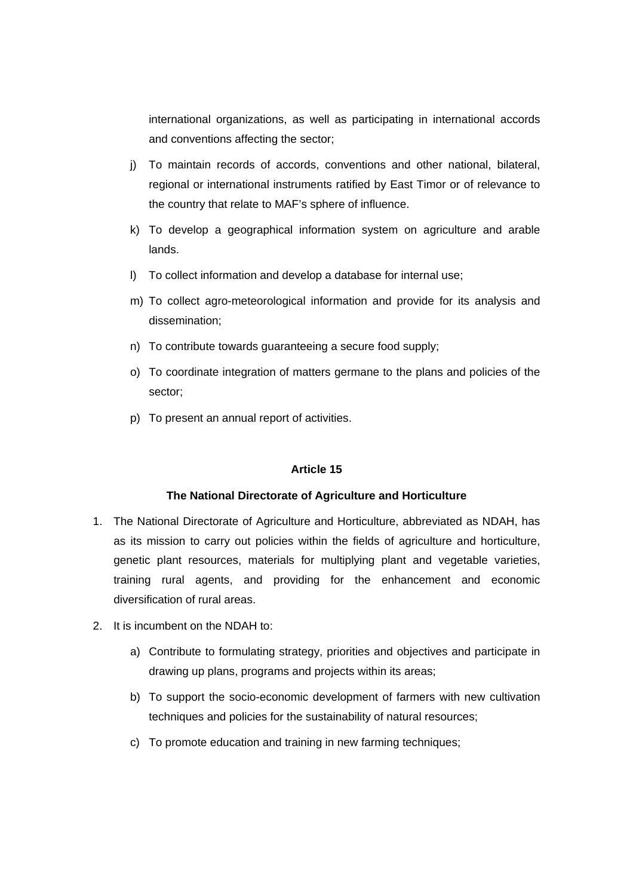international organizations, as well as participating in international accords and conventions affecting the sector;

- j) To maintain records of accords, conventions and other national, bilateral, regional or international instruments ratified by East Timor or of relevance to the country that relate to MAF's sphere of influence.
- k) To develop a geographical information system on agriculture and arable lands.
- l) To collect information and develop a database for internal use;
- m) To collect agro-meteorological information and provide for its analysis and dissemination;
- n) To contribute towards guaranteeing a secure food supply;
- o) To coordinate integration of matters germane to the plans and policies of the sector;
- p) To present an annual report of activities.

### **Article 15**

### **The National Directorate of Agriculture and Horticulture**

- 1. The National Directorate of Agriculture and Horticulture, abbreviated as NDAH, has as its mission to carry out policies within the fields of agriculture and horticulture, genetic plant resources, materials for multiplying plant and vegetable varieties, training rural agents, and providing for the enhancement and economic diversification of rural areas.
- 2. It is incumbent on the NDAH to:
	- a) Contribute to formulating strategy, priorities and objectives and participate in drawing up plans, programs and projects within its areas;
	- b) To support the socio-economic development of farmers with new cultivation techniques and policies for the sustainability of natural resources;
	- c) To promote education and training in new farming techniques;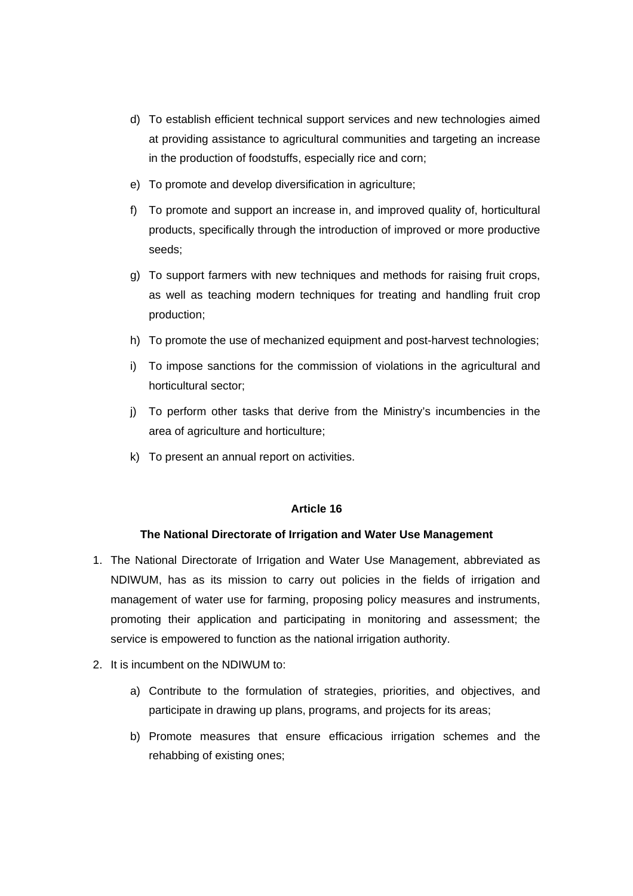- d) To establish efficient technical support services and new technologies aimed at providing assistance to agricultural communities and targeting an increase in the production of foodstuffs, especially rice and corn;
- e) To promote and develop diversification in agriculture;
- f) To promote and support an increase in, and improved quality of, horticultural products, specifically through the introduction of improved or more productive seeds;
- g) To support farmers with new techniques and methods for raising fruit crops, as well as teaching modern techniques for treating and handling fruit crop production;
- h) To promote the use of mechanized equipment and post-harvest technologies;
- i) To impose sanctions for the commission of violations in the agricultural and horticultural sector;
- j) To perform other tasks that derive from the Ministry's incumbencies in the area of agriculture and horticulture;
- k) To present an annual report on activities.

# **The National Directorate of Irrigation and Water Use Management**

- 1. The National Directorate of Irrigation and Water Use Management, abbreviated as NDIWUM, has as its mission to carry out policies in the fields of irrigation and management of water use for farming, proposing policy measures and instruments, promoting their application and participating in monitoring and assessment; the service is empowered to function as the national irrigation authority.
- 2. It is incumbent on the NDIWUM to:
	- a) Contribute to the formulation of strategies, priorities, and objectives, and participate in drawing up plans, programs, and projects for its areas;
	- b) Promote measures that ensure efficacious irrigation schemes and the rehabbing of existing ones;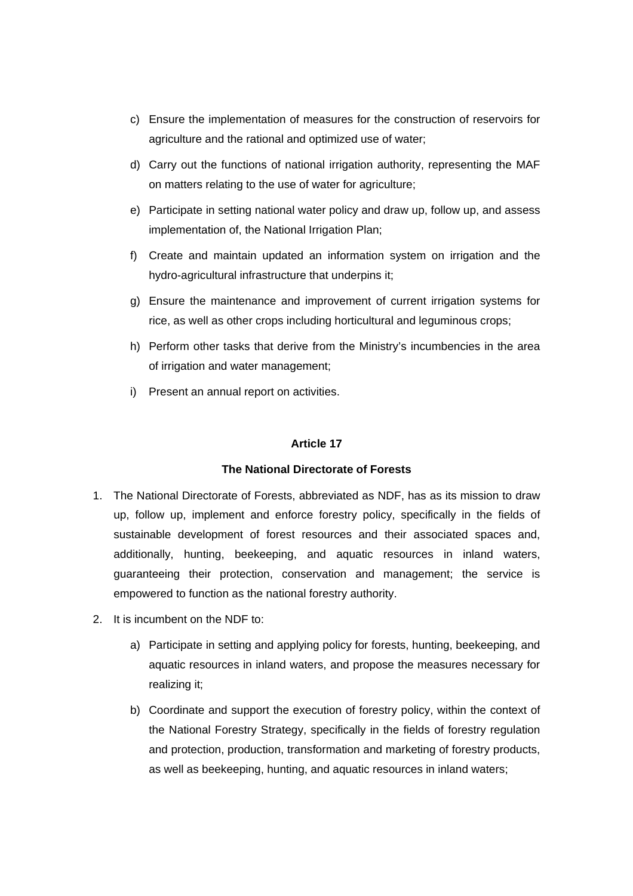- c) Ensure the implementation of measures for the construction of reservoirs for agriculture and the rational and optimized use of water;
- d) Carry out the functions of national irrigation authority, representing the MAF on matters relating to the use of water for agriculture;
- e) Participate in setting national water policy and draw up, follow up, and assess implementation of, the National Irrigation Plan;
- f) Create and maintain updated an information system on irrigation and the hydro-agricultural infrastructure that underpins it;
- g) Ensure the maintenance and improvement of current irrigation systems for rice, as well as other crops including horticultural and leguminous crops;
- h) Perform other tasks that derive from the Ministry's incumbencies in the area of irrigation and water management;
- i) Present an annual report on activities.

### **The National Directorate of Forests**

- 1. The National Directorate of Forests, abbreviated as NDF, has as its mission to draw up, follow up, implement and enforce forestry policy, specifically in the fields of sustainable development of forest resources and their associated spaces and, additionally, hunting, beekeeping, and aquatic resources in inland waters, guaranteeing their protection, conservation and management; the service is empowered to function as the national forestry authority.
- 2. It is incumbent on the NDF to:
	- a) Participate in setting and applying policy for forests, hunting, beekeeping, and aquatic resources in inland waters, and propose the measures necessary for realizing it;
	- b) Coordinate and support the execution of forestry policy, within the context of the National Forestry Strategy, specifically in the fields of forestry regulation and protection, production, transformation and marketing of forestry products, as well as beekeeping, hunting, and aquatic resources in inland waters;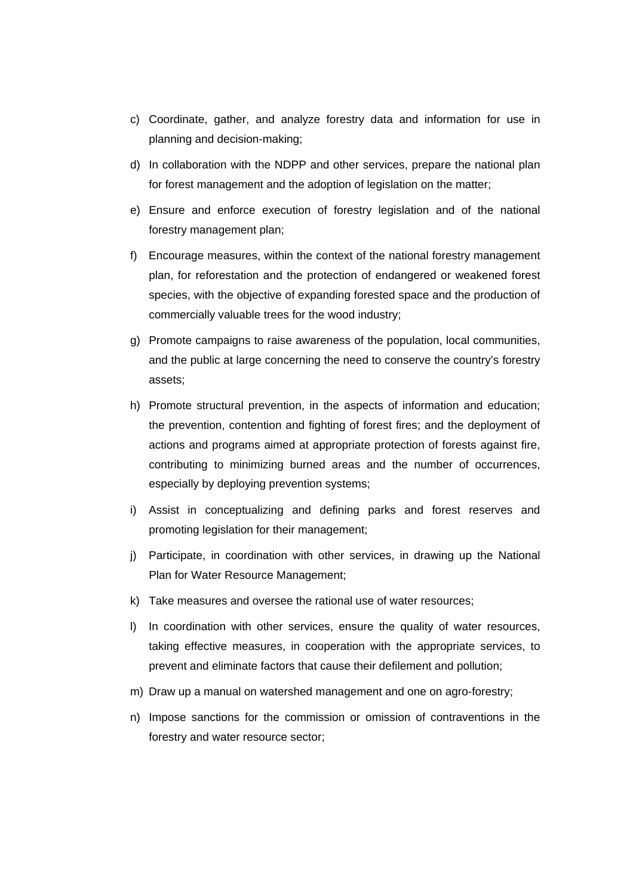- c) Coordinate, gather, and analyze forestry data and information for use in planning and decision-making;
- d) In collaboration with the NDPP and other services, prepare the national plan for forest management and the adoption of legislation on the matter;
- e) Ensure and enforce execution of forestry legislation and of the national forestry management plan;
- f) Encourage measures, within the context of the national forestry management plan, for reforestation and the protection of endangered or weakened forest species, with the objective of expanding forested space and the production of commercially valuable trees for the wood industry;
- g) Promote campaigns to raise awareness of the population, local communities, and the public at large concerning the need to conserve the country's forestry assets;
- h) Promote structural prevention, in the aspects of information and education; the prevention, contention and fighting of forest fires; and the deployment of actions and programs aimed at appropriate protection of forests against fire, contributing to minimizing burned areas and the number of occurrences, especially by deploying prevention systems;
- i) Assist in conceptualizing and defining parks and forest reserves and promoting legislation for their management;
- j) Participate, in coordination with other services, in drawing up the National Plan for Water Resource Management;
- k) Take measures and oversee the rational use of water resources;
- l) In coordination with other services, ensure the quality of water resources, taking effective measures, in cooperation with the appropriate services, to prevent and eliminate factors that cause their defilement and pollution;
- m) Draw up a manual on watershed management and one on agro-forestry;
- n) Impose sanctions for the commission or omission of contraventions in the forestry and water resource sector;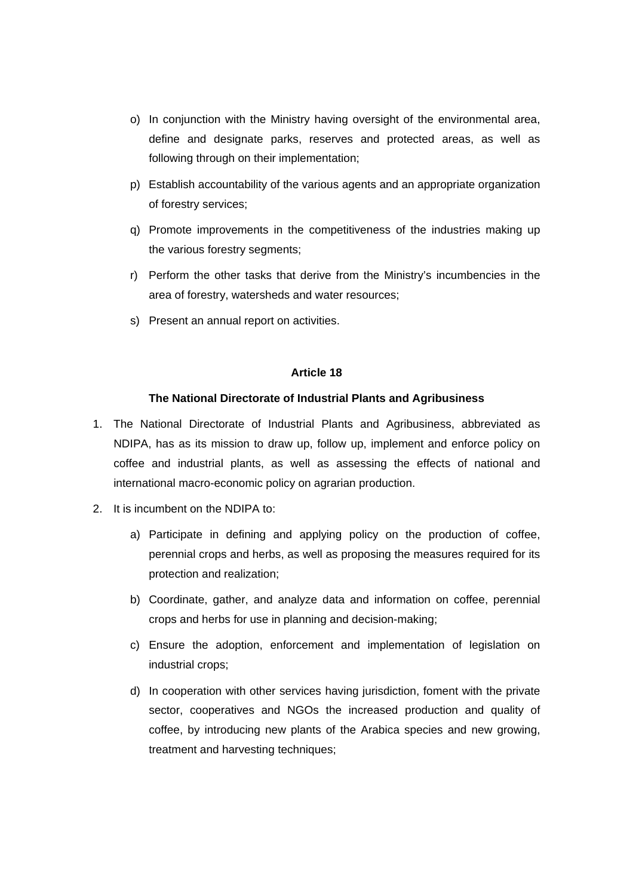- o) In conjunction with the Ministry having oversight of the environmental area, define and designate parks, reserves and protected areas, as well as following through on their implementation;
- p) Establish accountability of the various agents and an appropriate organization of forestry services;
- q) Promote improvements in the competitiveness of the industries making up the various forestry segments;
- r) Perform the other tasks that derive from the Ministry's incumbencies in the area of forestry, watersheds and water resources;
- s) Present an annual report on activities.

# **The National Directorate of Industrial Plants and Agribusiness**

- 1. The National Directorate of Industrial Plants and Agribusiness, abbreviated as NDIPA, has as its mission to draw up, follow up, implement and enforce policy on coffee and industrial plants, as well as assessing the effects of national and international macro-economic policy on agrarian production.
- 2. It is incumbent on the NDIPA to:
	- a) Participate in defining and applying policy on the production of coffee, perennial crops and herbs, as well as proposing the measures required for its protection and realization;
	- b) Coordinate, gather, and analyze data and information on coffee, perennial crops and herbs for use in planning and decision-making;
	- c) Ensure the adoption, enforcement and implementation of legislation on industrial crops;
	- d) In cooperation with other services having jurisdiction, foment with the private sector, cooperatives and NGOs the increased production and quality of coffee, by introducing new plants of the Arabica species and new growing, treatment and harvesting techniques;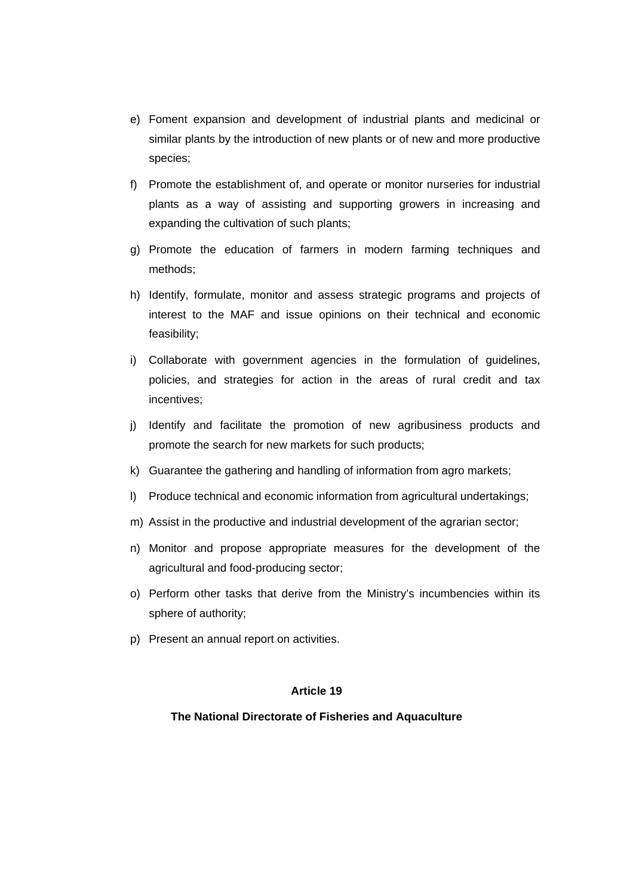- e) Foment expansion and development of industrial plants and medicinal or similar plants by the introduction of new plants or of new and more productive species;
- f) Promote the establishment of, and operate or monitor nurseries for industrial plants as a way of assisting and supporting growers in increasing and expanding the cultivation of such plants;
- g) Promote the education of farmers in modern farming techniques and methods;
- h) Identify, formulate, monitor and assess strategic programs and projects of interest to the MAF and issue opinions on their technical and economic feasibility;
- i) Collaborate with government agencies in the formulation of guidelines, policies, and strategies for action in the areas of rural credit and tax incentives;
- j) Identify and facilitate the promotion of new agribusiness products and promote the search for new markets for such products;
- k) Guarantee the gathering and handling of information from agro markets;
- l) Produce technical and economic information from agricultural undertakings;
- m) Assist in the productive and industrial development of the agrarian sector;
- n) Monitor and propose appropriate measures for the development of the agricultural and food-producing sector;
- o) Perform other tasks that derive from the Ministry's incumbencies within its sphere of authority;
- p) Present an annual report on activities.

## **The National Directorate of Fisheries and Aquaculture**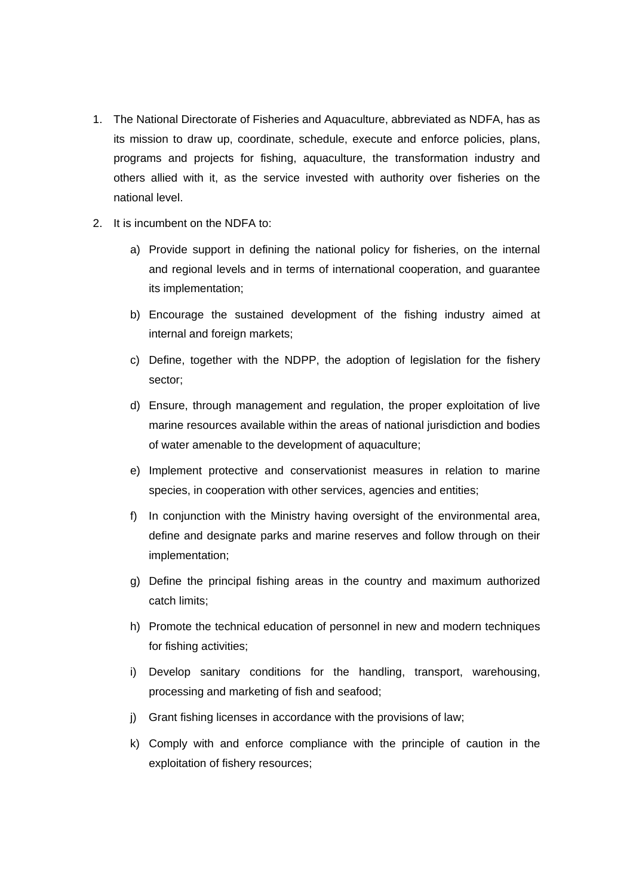- 1. The National Directorate of Fisheries and Aquaculture, abbreviated as NDFA, has as its mission to draw up, coordinate, schedule, execute and enforce policies, plans, programs and projects for fishing, aquaculture, the transformation industry and others allied with it, as the service invested with authority over fisheries on the national level.
- 2. It is incumbent on the NDFA to:
	- a) Provide support in defining the national policy for fisheries, on the internal and regional levels and in terms of international cooperation, and guarantee its implementation;
	- b) Encourage the sustained development of the fishing industry aimed at internal and foreign markets;
	- c) Define, together with the NDPP, the adoption of legislation for the fishery sector;
	- d) Ensure, through management and regulation, the proper exploitation of live marine resources available within the areas of national jurisdiction and bodies of water amenable to the development of aquaculture;
	- e) Implement protective and conservationist measures in relation to marine species, in cooperation with other services, agencies and entities;
	- f) In conjunction with the Ministry having oversight of the environmental area, define and designate parks and marine reserves and follow through on their implementation;
	- g) Define the principal fishing areas in the country and maximum authorized catch limits;
	- h) Promote the technical education of personnel in new and modern techniques for fishing activities;
	- i) Develop sanitary conditions for the handling, transport, warehousing, processing and marketing of fish and seafood;
	- j) Grant fishing licenses in accordance with the provisions of law;
	- k) Comply with and enforce compliance with the principle of caution in the exploitation of fishery resources;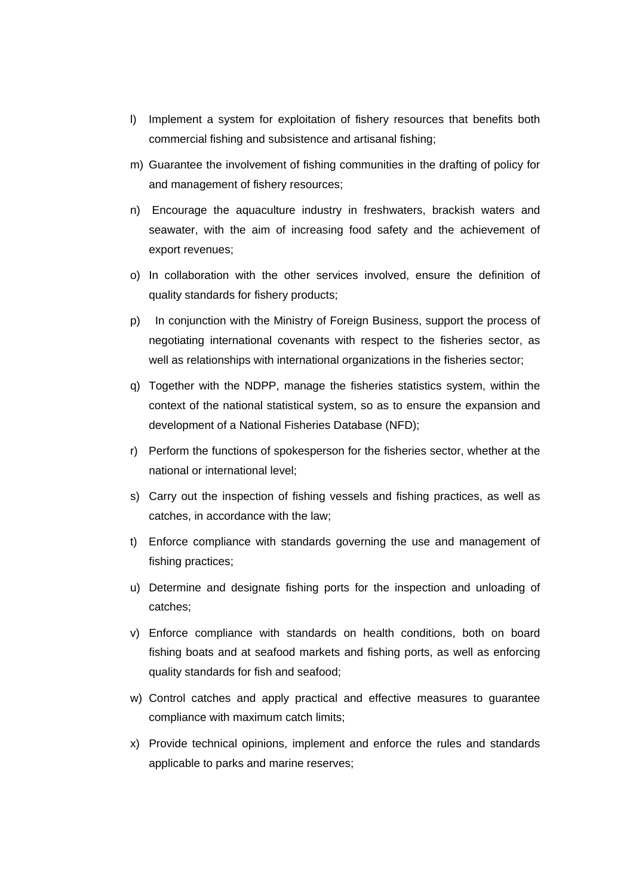- l) Implement a system for exploitation of fishery resources that benefits both commercial fishing and subsistence and artisanal fishing;
- m) Guarantee the involvement of fishing communities in the drafting of policy for and management of fishery resources;
- n) Encourage the aquaculture industry in freshwaters, brackish waters and seawater, with the aim of increasing food safety and the achievement of export revenues;
- o) In collaboration with the other services involved, ensure the definition of quality standards for fishery products;
- p) In conjunction with the Ministry of Foreign Business, support the process of negotiating international covenants with respect to the fisheries sector, as well as relationships with international organizations in the fisheries sector;
- q) Together with the NDPP, manage the fisheries statistics system, within the context of the national statistical system, so as to ensure the expansion and development of a National Fisheries Database (NFD);
- r) Perform the functions of spokesperson for the fisheries sector, whether at the national or international level;
- s) Carry out the inspection of fishing vessels and fishing practices, as well as catches, in accordance with the law;
- t) Enforce compliance with standards governing the use and management of fishing practices;
- u) Determine and designate fishing ports for the inspection and unloading of catches;
- v) Enforce compliance with standards on health conditions, both on board fishing boats and at seafood markets and fishing ports, as well as enforcing quality standards for fish and seafood;
- w) Control catches and apply practical and effective measures to guarantee compliance with maximum catch limits;
- x) Provide technical opinions, implement and enforce the rules and standards applicable to parks and marine reserves;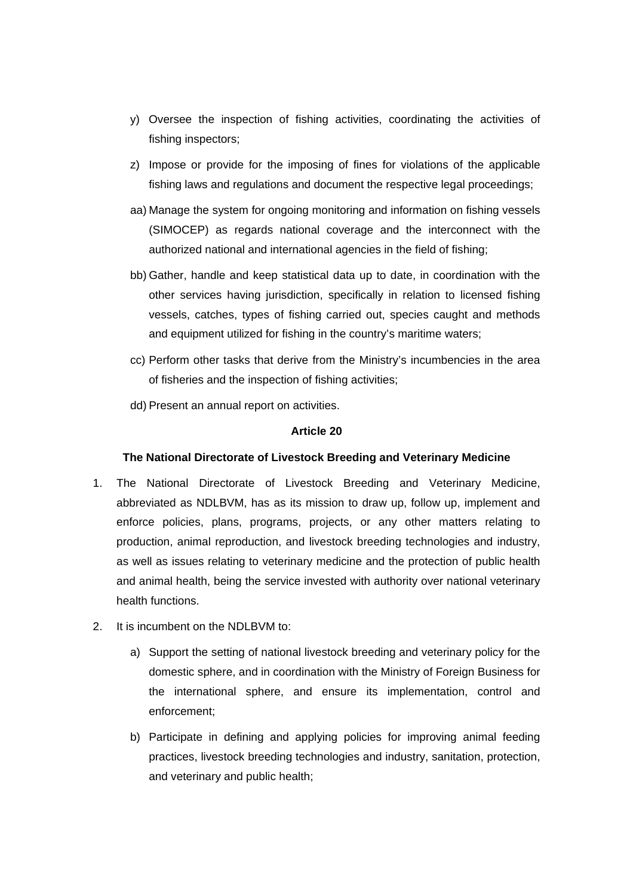- y) Oversee the inspection of fishing activities, coordinating the activities of fishing inspectors;
- z) Impose or provide for the imposing of fines for violations of the applicable fishing laws and regulations and document the respective legal proceedings;
- aa) Manage the system for ongoing monitoring and information on fishing vessels (SIMOCEP) as regards national coverage and the interconnect with the authorized national and international agencies in the field of fishing;
- bb) Gather, handle and keep statistical data up to date, in coordination with the other services having jurisdiction, specifically in relation to licensed fishing vessels, catches, types of fishing carried out, species caught and methods and equipment utilized for fishing in the country's maritime waters;
- cc) Perform other tasks that derive from the Ministry's incumbencies in the area of fisheries and the inspection of fishing activities;
- dd) Present an annual report on activities.

### **The National Directorate of Livestock Breeding and Veterinary Medicine**

- 1. The National Directorate of Livestock Breeding and Veterinary Medicine, abbreviated as NDLBVM, has as its mission to draw up, follow up, implement and enforce policies, plans, programs, projects, or any other matters relating to production, animal reproduction, and livestock breeding technologies and industry, as well as issues relating to veterinary medicine and the protection of public health and animal health, being the service invested with authority over national veterinary health functions.
- 2. It is incumbent on the NDLBVM to:
	- a) Support the setting of national livestock breeding and veterinary policy for the domestic sphere, and in coordination with the Ministry of Foreign Business for the international sphere, and ensure its implementation, control and enforcement;
	- b) Participate in defining and applying policies for improving animal feeding practices, livestock breeding technologies and industry, sanitation, protection, and veterinary and public health;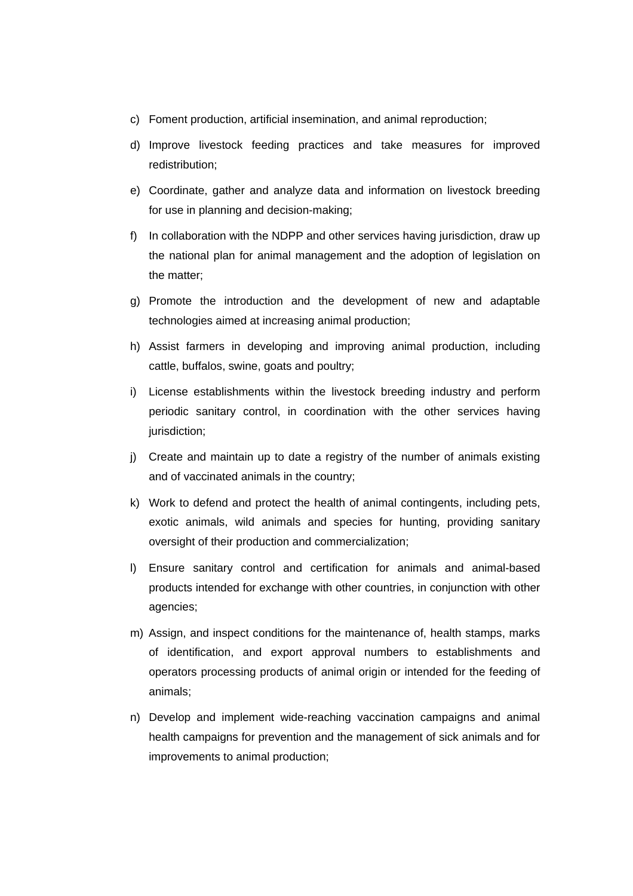- c) Foment production, artificial insemination, and animal reproduction;
- d) Improve livestock feeding practices and take measures for improved redistribution;
- e) Coordinate, gather and analyze data and information on livestock breeding for use in planning and decision-making;
- f) In collaboration with the NDPP and other services having jurisdiction, draw up the national plan for animal management and the adoption of legislation on the matter;
- g) Promote the introduction and the development of new and adaptable technologies aimed at increasing animal production;
- h) Assist farmers in developing and improving animal production, including cattle, buffalos, swine, goats and poultry;
- i) License establishments within the livestock breeding industry and perform periodic sanitary control, in coordination with the other services having jurisdiction;
- j) Create and maintain up to date a registry of the number of animals existing and of vaccinated animals in the country;
- k) Work to defend and protect the health of animal contingents, including pets, exotic animals, wild animals and species for hunting, providing sanitary oversight of their production and commercialization;
- l) Ensure sanitary control and certification for animals and animal-based products intended for exchange with other countries, in conjunction with other agencies;
- m) Assign, and inspect conditions for the maintenance of, health stamps, marks of identification, and export approval numbers to establishments and operators processing products of animal origin or intended for the feeding of animals;
- n) Develop and implement wide-reaching vaccination campaigns and animal health campaigns for prevention and the management of sick animals and for improvements to animal production;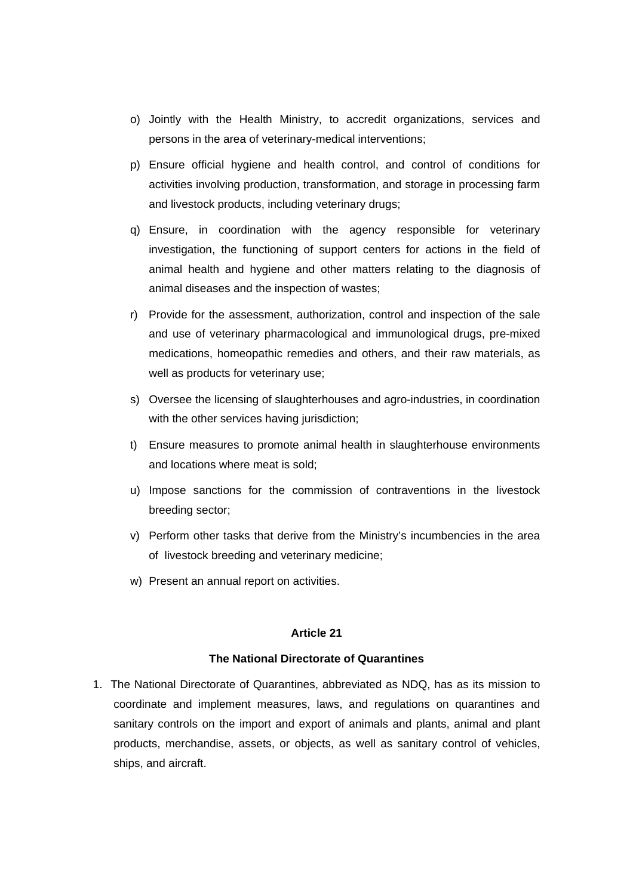- o) Jointly with the Health Ministry, to accredit organizations, services and persons in the area of veterinary-medical interventions;
- p) Ensure official hygiene and health control, and control of conditions for activities involving production, transformation, and storage in processing farm and livestock products, including veterinary drugs;
- q) Ensure, in coordination with the agency responsible for veterinary investigation, the functioning of support centers for actions in the field of animal health and hygiene and other matters relating to the diagnosis of animal diseases and the inspection of wastes;
- r) Provide for the assessment, authorization, control and inspection of the sale and use of veterinary pharmacological and immunological drugs, pre-mixed medications, homeopathic remedies and others, and their raw materials, as well as products for veterinary use;
- s) Oversee the licensing of slaughterhouses and agro-industries, in coordination with the other services having jurisdiction;
- t) Ensure measures to promote animal health in slaughterhouse environments and locations where meat is sold;
- u) Impose sanctions for the commission of contraventions in the livestock breeding sector;
- v) Perform other tasks that derive from the Ministry's incumbencies in the area of livestock breeding and veterinary medicine;
- w) Present an annual report on activities.

## **The National Directorate of Quarantines**

1. The National Directorate of Quarantines, abbreviated as NDQ, has as its mission to coordinate and implement measures, laws, and regulations on quarantines and sanitary controls on the import and export of animals and plants, animal and plant products, merchandise, assets, or objects, as well as sanitary control of vehicles, ships, and aircraft.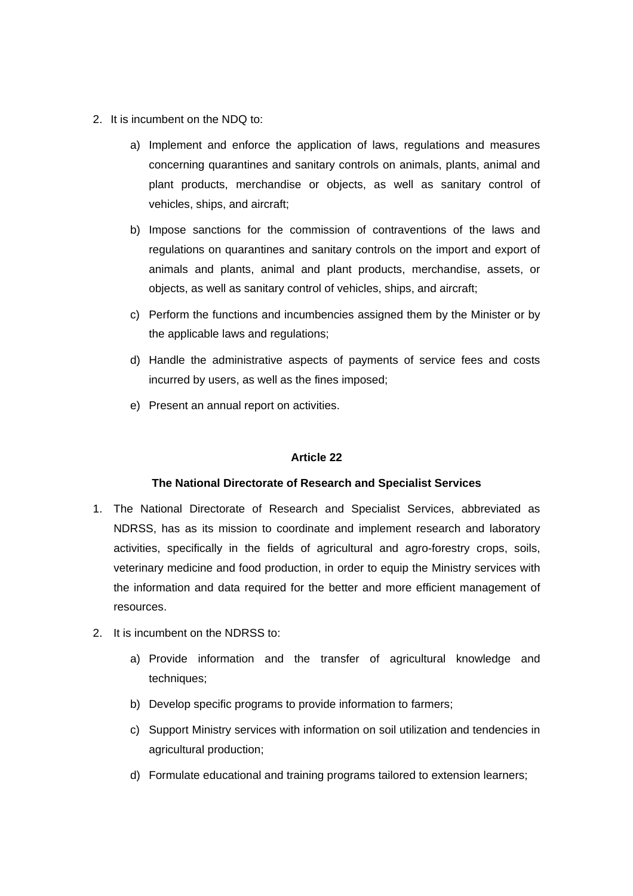- 2. It is incumbent on the NDQ to:
	- a) Implement and enforce the application of laws, regulations and measures concerning quarantines and sanitary controls on animals, plants, animal and plant products, merchandise or objects, as well as sanitary control of vehicles, ships, and aircraft;
	- b) Impose sanctions for the commission of contraventions of the laws and regulations on quarantines and sanitary controls on the import and export of animals and plants, animal and plant products, merchandise, assets, or objects, as well as sanitary control of vehicles, ships, and aircraft;
	- c) Perform the functions and incumbencies assigned them by the Minister or by the applicable laws and regulations;
	- d) Handle the administrative aspects of payments of service fees and costs incurred by users, as well as the fines imposed;
	- e) Present an annual report on activities.

### **The National Directorate of Research and Specialist Services**

- 1. The National Directorate of Research and Specialist Services, abbreviated as NDRSS, has as its mission to coordinate and implement research and laboratory activities, specifically in the fields of agricultural and agro-forestry crops, soils, veterinary medicine and food production, in order to equip the Ministry services with the information and data required for the better and more efficient management of resources.
- 2. It is incumbent on the NDRSS to:
	- a) Provide information and the transfer of agricultural knowledge and techniques;
	- b) Develop specific programs to provide information to farmers;
	- c) Support Ministry services with information on soil utilization and tendencies in agricultural production;
	- d) Formulate educational and training programs tailored to extension learners;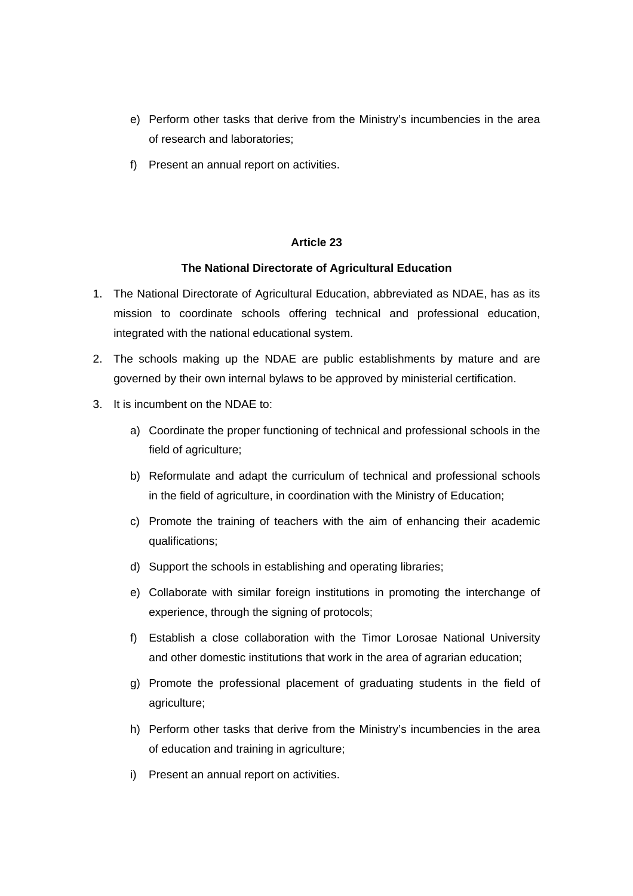- e) Perform other tasks that derive from the Ministry's incumbencies in the area of research and laboratories;
- f) Present an annual report on activities.

# **The National Directorate of Agricultural Education**

- 1. The National Directorate of Agricultural Education, abbreviated as NDAE, has as its mission to coordinate schools offering technical and professional education, integrated with the national educational system.
- 2. The schools making up the NDAE are public establishments by mature and are governed by their own internal bylaws to be approved by ministerial certification.
- 3. It is incumbent on the NDAE to:
	- a) Coordinate the proper functioning of technical and professional schools in the field of agriculture;
	- b) Reformulate and adapt the curriculum of technical and professional schools in the field of agriculture, in coordination with the Ministry of Education;
	- c) Promote the training of teachers with the aim of enhancing their academic qualifications;
	- d) Support the schools in establishing and operating libraries;
	- e) Collaborate with similar foreign institutions in promoting the interchange of experience, through the signing of protocols;
	- f) Establish a close collaboration with the Timor Lorosae National University and other domestic institutions that work in the area of agrarian education;
	- g) Promote the professional placement of graduating students in the field of agriculture;
	- h) Perform other tasks that derive from the Ministry's incumbencies in the area of education and training in agriculture;
	- i) Present an annual report on activities.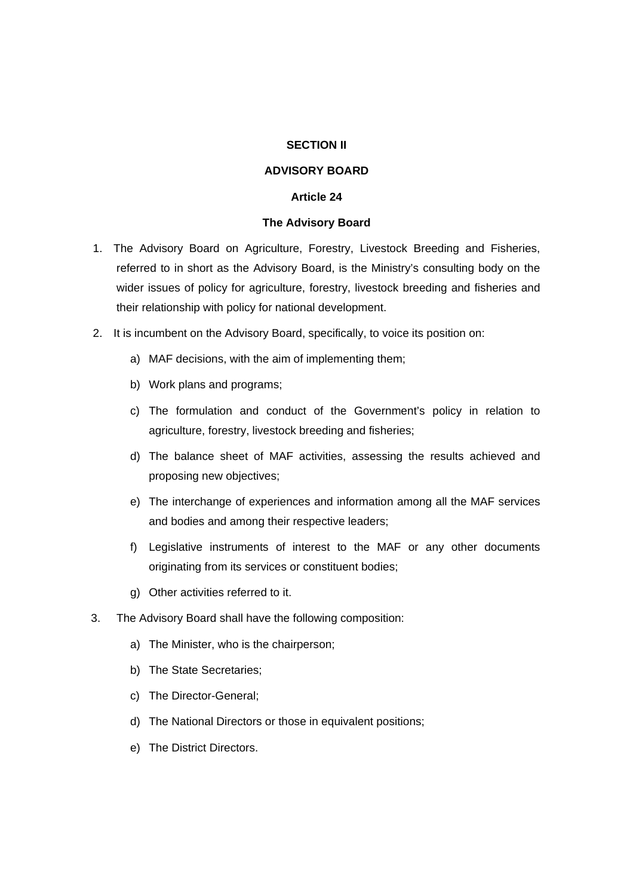### **SECTION II**

## **ADVISORY BOARD**

### **Article 24**

### **The Advisory Board**

- 1. The Advisory Board on Agriculture, Forestry, Livestock Breeding and Fisheries, referred to in short as the Advisory Board, is the Ministry's consulting body on the wider issues of policy for agriculture, forestry, livestock breeding and fisheries and their relationship with policy for national development.
- 2. It is incumbent on the Advisory Board, specifically, to voice its position on:
	- a) MAF decisions, with the aim of implementing them;
	- b) Work plans and programs;
	- c) The formulation and conduct of the Government's policy in relation to agriculture, forestry, livestock breeding and fisheries;
	- d) The balance sheet of MAF activities, assessing the results achieved and proposing new objectives;
	- e) The interchange of experiences and information among all the MAF services and bodies and among their respective leaders;
	- f) Legislative instruments of interest to the MAF or any other documents originating from its services or constituent bodies;
	- g) Other activities referred to it.
- 3. The Advisory Board shall have the following composition:
	- a) The Minister, who is the chairperson;
	- b) The State Secretaries;
	- c) The Director-General;
	- d) The National Directors or those in equivalent positions;
	- e) The District Directors.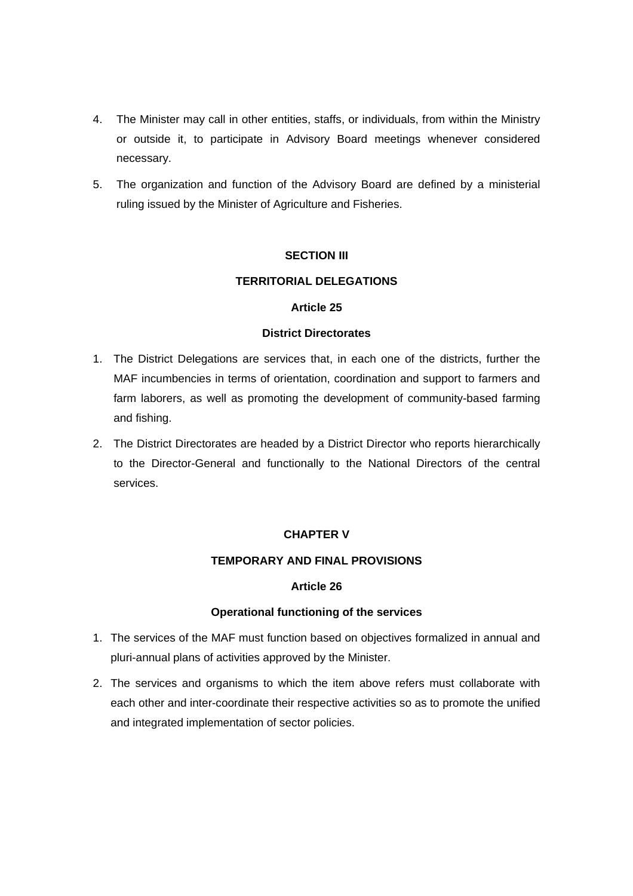- 4. The Minister may call in other entities, staffs, or individuals, from within the Ministry or outside it, to participate in Advisory Board meetings whenever considered necessary.
- 5. The organization and function of the Advisory Board are defined by a ministerial ruling issued by the Minister of Agriculture and Fisheries.

# **SECTION III**

## **TERRITORIAL DELEGATIONS**

## **Article 25**

## **District Directorates**

- 1. The District Delegations are services that, in each one of the districts, further the MAF incumbencies in terms of orientation, coordination and support to farmers and farm laborers, as well as promoting the development of community-based farming and fishing.
- 2. The District Directorates are headed by a District Director who reports hierarchically to the Director-General and functionally to the National Directors of the central services.

# **CHAPTER V**

### **TEMPORARY AND FINAL PROVISIONS**

# **Article 26**

### **Operational functioning of the services**

- 1. The services of the MAF must function based on objectives formalized in annual and pluri-annual plans of activities approved by the Minister.
- 2. The services and organisms to which the item above refers must collaborate with each other and inter-coordinate their respective activities so as to promote the unified and integrated implementation of sector policies.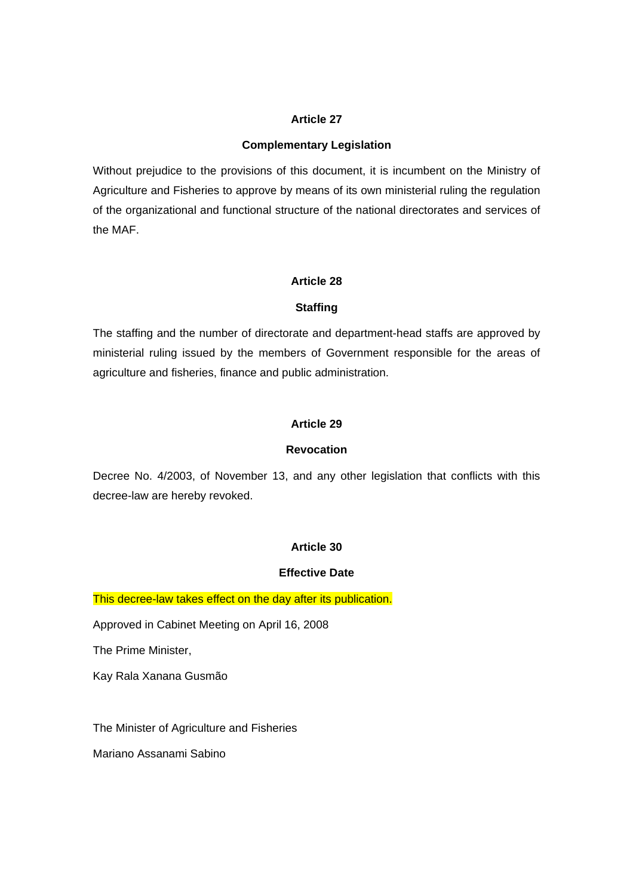## **Complementary Legislation**

Without prejudice to the provisions of this document, it is incumbent on the Ministry of Agriculture and Fisheries to approve by means of its own ministerial ruling the regulation of the organizational and functional structure of the national directorates and services of the MAF.

## **Article 28**

## **Staffing**

The staffing and the number of directorate and department-head staffs are approved by ministerial ruling issued by the members of Government responsible for the areas of agriculture and fisheries, finance and public administration.

## **Article 29**

# **Revocation**

Decree No. 4/2003, of November 13, and any other legislation that conflicts with this decree-law are hereby revoked.

# **Article 30**

### **Effective Date**

This decree-law takes effect on the day after its publication.

Approved in Cabinet Meeting on April 16, 2008

The Prime Minister,

Kay Rala Xanana Gusmão

The Minister of Agriculture and Fisheries

Mariano Assanami Sabino